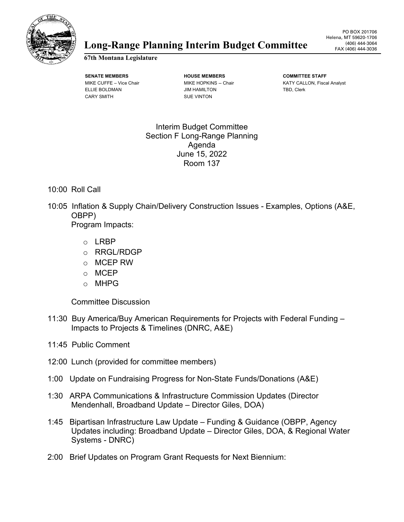

## (406) 444-3064 **Long** FAX (406) 444-3036 **-Range Planning Interim Budget Committee**

**67th Montana Legislature**

**SENATE MEMBERS HOUSE MEMBERS COMMITTEE STAFF** ELLIE BOLDMAN **GEET ALLIE BOLDMAN** JIM HAMILTON **TED, Clerk** CARY SMITH SUE VINTON

MIKE CUFFE – Vice Chair **MIKE HOPKINS -- Chair** Chair KATY CALLON, Fiscal Analyst

Interim Budget Committee Section F Long-Range Planning Agenda June 15, 2022 Room 137

## 10:00 Roll Call

10:05 Inflation & Supply Chain/Delivery Construction Issues - Examples, Options (A&E, OBPP)

Program Impacts:

- o LRBP
- o RRGL/RDGP
- o MCEP RW
- o MCEP
- o MHPG

Committee Discussion

- 11:30 Buy America/Buy American Requirements for Projects with Federal Funding Impacts to Projects & Timelines (DNRC, A&E)
- 11:45 Public Comment
- 12:00 Lunch (provided for committee members)
- 1:00 Update on Fundraising Progress for Non-State Funds/Donations (A&E)
- 1:30 ARPA Communications & Infrastructure Commission Updates (Director Mendenhall, Broadband Update – Director Giles, DOA)
- 1:45 Bipartisan Infrastructure Law Update Funding & Guidance (OBPP, Agency Updates including: Broadband Update – Director Giles, DOA, & Regional Water Systems - DNRC)
- 2:00 Brief Updates on Program Grant Requests for Next Biennium: